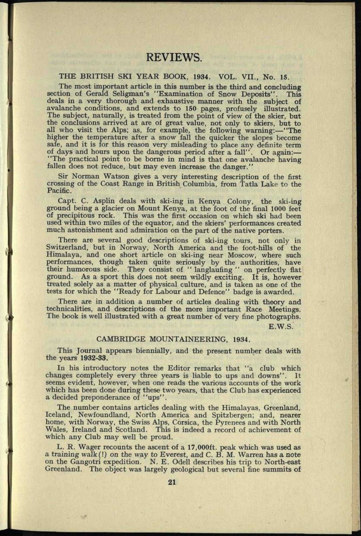## THE BRITISH SKI YEAR BOOK, 1934. VOL. VII., No. 15.

The most important article in this number is the third and concluding section of Gerald Seligman's "Examination of Snow Deposits". This deals in a very thorough and exhaustive manner with the subject of avalanche conditions, and extends to 150 pages, profusely illustrated. The subject, naturally, is treated from the point of view of the skier, but the conclusions arrived at are of great value, not only to skiers, but to all who visit the Alps; as, for example, the following warning:-"The higher the temperature after a snow fall the quicker the slopes become safe, and it is for this reason very misleading to place any definite term of days and hours upon the dangerous period after a fall". Or again: "The practical point to be borne in mind is that one avalanche having fallen does not reduce, but may even increase the danger."

Sir Norman Watson gives a very interesting description of the first crossing of the Coast Range in British Columbia, from Tatla Lake to the Pacific.

Capt. C. Asplin deals with ski-ing in Kenya Colony, the ski-ing ground being <sup>a</sup>glacier on Mount Kenya, at the foot of the final 1000 feet of precipitous rock. This was the first occasion on which ski had been used within two miles of the equator, and the skiers' performances created much astonishment and admiration on the part of the native porters.

There are several good descriptions of ski-ing tours, not only in Switzerland, but in Norway, North America and the foot-hills of the Himalaya, and one short article on ski-ing near Moscow, where such performances, though taken quite seriously by the authorities, have their humorous side. They consist of " langlaufing " on perfectly flat ground. As <sup>a</sup>sport this does not seem wildly exciting. It is, however treated solely as a matter of physical culture, and is taken as one of the tests for which the "Ready for Labour and Defence" badge is awarded.

There are in addition a number of articles dealing with theory and technicalities, and descriptions of the more important Race Meetings. The book is well illustrated with <sup>a</sup>great number of very fine photographs.

E.W.S.

## CAMBRIDGE MOUNTAINEERING, 1934.

This Journal appears biennially, and the present number deals with the years 1932-33.

In his introductory notes the Editor remarks that "a club which changes completely every three years is liable to ups and downs". It seems evident, however, when one reads the various accounts of the work which has been done during these two years, that the Club has experienced <sup>a</sup>decided preponderance of "ups".

The number contains articles dealing with the Himalayas, Greenland, Iceland, Newfoundland, North America and Spitzbergen; and, nearer home, with Norway, the Swiss Alps, Corsica, the Pyrenees and with North Wales, Ireland and Scotland. This is indeed a record of achievement of which any Club may well be proud.

L. R. Wager recounts the ascent of a 17,000ft. peak which was used as <sup>a</sup>training walk(!) on the way to Everest, and C. B. M. Warren has a note on the Gangotri expedition. N. E. Odell describes his trip to North-east Greenland. The object was largely geological but several fine summits of